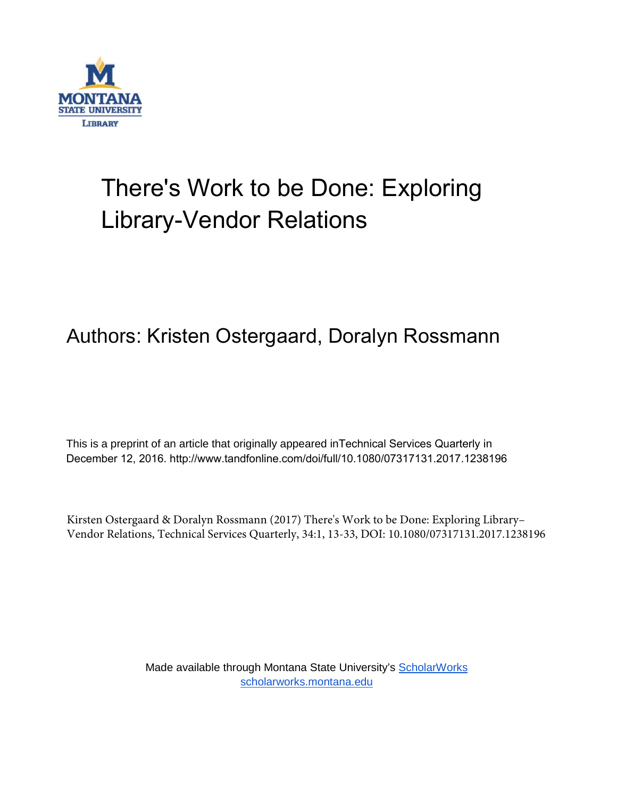

## There's Work to be Done: Exploring Library-Vendor Relations

## Authors: Kristen Ostergaard, Doralyn Rossmann

This is a preprint of an article that originally appeared inTechnical Services Quarterly in December 12, 2016. http://www.tandfonline.com/doi/full/10.1080/07317131.2017.1238196

Kirsten Ostergaard & Doralyn Rossmann (2017) There's Work to be Done: Exploring Library– Vendor Relations, Technical Services Quarterly, 34:1, 13-33, DOI: 10.1080/07317131.2017.1238196

> Made available through Montana State University's [ScholarWorks](http://scholarworks.montana.edu/) [scholarworks.montana.edu](http://scholarworks.montana.edu/)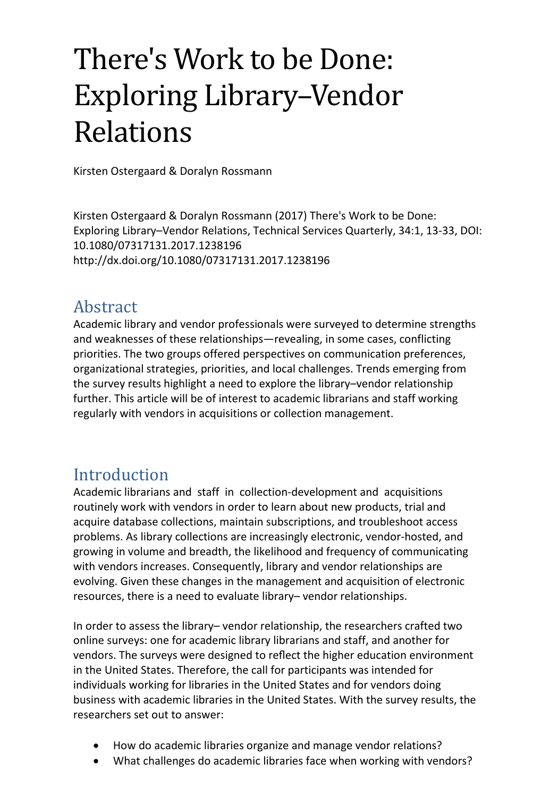# There's Work to be Done: Exploring Library–Vendor Relations

Kirsten Ostergaard & Doralyn Rossmann

Kirsten Ostergaard & Doralyn Rossmann (2017) There's Work to be Done: Exploring Library–Vendor Relations, Technical Services Quarterly, 34:1, 13-33, DOI: 10.1080/07317131.2017.1238196 <http://dx.doi.org/10.1080/07317131.2017.1238196>

## Abstract

Academic library and vendor professionals were surveyed to determine strengths and weaknesses of these relationships—revealing, in some cases, conflicting priorities. The two groups offered perspectives on communication preferences, organizational strategies, priorities, and local challenges. Trends emerging from the survey results highlight a need to explore the library–vendor relationship further. This article will be of interest to academic librarians and staff working regularly with vendors in acquisitions or collection management.

## Introduction

Academic librarians and staff in collection-development and acquisitions routinely work with vendors in order to learn about new products, trial and acquire database collections, maintain subscriptions, and troubleshoot access problems. As library collections are increasingly electronic, vendor-hosted, and growing in volume and breadth, the likelihood and frequency of communicating with vendors increases. Consequently, library and vendor relationships are evolving. Given these changes in the management and acquisition of electronic resources, there is a need to evaluate library– vendor relationships.

In order to assess the library– vendor relationship, the researchers crafted two online surveys: one for academic library librarians and staff, and another for vendors. The surveys were designed to reflect the higher education environment in the United States. Therefore, the call for participants was intended for individuals working for libraries in the United States and for vendors doing business with academic libraries in the United States. With the survey results, the researchers set out to answer:

- How do academic libraries organize and manage vendor relations?
- What challenges do academic libraries face when working with vendors?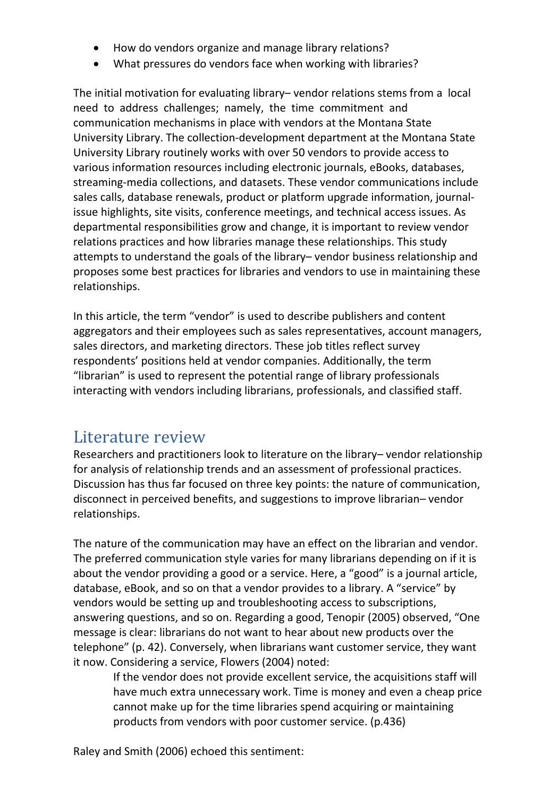- How do vendors organize and manage library relations?
- What pressures do vendors face when working with libraries?

The initial motivation for evaluating library– vendor relations stems from a local need to address challenges; namely, the time commitment and communication mechanisms in place with vendors at the Montana State University Library. The collection-development department at the Montana State University Library routinely works with over 50 vendors to provide access to various information resources including electronic journals, eBooks, databases, streaming-media collections, and datasets. These vendor communications include sales calls, database renewals, product or platform upgrade information, journalissue highlights, site visits, conference meetings, and technical access issues. As departmental responsibilities grow and change, it is important to review vendor relations practices and how libraries manage these relationships. This study attempts to understand the goals of the library– vendor business relationship and proposes some best practices for libraries and vendors to use in maintaining these relationships.

In this article, the term "vendor" is used to describe publishers and content aggregators and their employees such as sales representatives, account managers, sales directors, and marketing directors. These job titles reflect survey respondents' positions held at vendor companies. Additionally, the term "librarian" is used to represent the potential range of library professionals interacting with vendors including librarians, professionals, and classified staff.

## Literature review

Researchers and practitioners look to literature on the library– vendor relationship for analysis of relationship trends and an assessment of professional practices. Discussion has thus far focused on three key points: the nature of communication, disconnect in perceived benefits, and suggestions to improve librarian– vendor relationships.

The nature of the communication may have an effect on the librarian and vendor. The preferred communication style varies for many librarians depending on if it is about the vendor providing a good or a service. Here, a "good" is a journal article, database, eBook, and so on that a vendor provides to a library. A "service" by vendors would be setting up and troubleshooting access to subscriptions, answering questions, and so on. Regarding a good, Tenopir [\(2005\)](#page-14-0) observed, "One message is clear: librarians do not want to hear about new products over the telephone" (p. 42). Conversely, when librarians want customer service, they want it now. Considering a service, Flowers [\(2004\)](#page-13-0) noted:

If the vendor does not provide excellent service, the acquisitions staff will have much extra unnecessary work. Time is money and even a cheap price cannot make up for the time libraries spend acquiring or maintaining products from vendors with poor customer service. (p.436)

Raley and Smith [\(2006\)](#page-14-1) echoed this sentiment: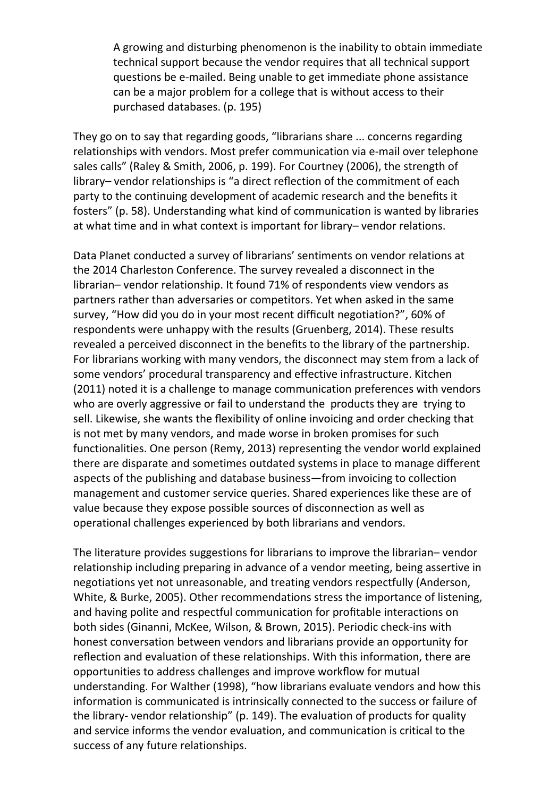A growing and disturbing phenomenon is the inability to obtain immediate technical support because the vendor requires that all technical support questions be e-mailed. Being unable to get immediate phone assistance can be a major problem for a college that is without access to their purchased databases. (p. 195)

They go on to say that regarding goods, "librarians share ... concerns regarding relationships with vendors. Most prefer communication via e-mail over telephone sales calls" (Raley & Smith, [2006,](#page-14-1) p. 199). For Courtney [\(2006\)](#page-13-1), the strength of library– vendor relationships is "a direct reflection of the commitment of each party to the continuing development of academic research and the benefits it fosters" (p. 58). Understanding what kind of communication is wanted by libraries at what time and in what context is important for library– vendor relations.

Data Planet conducted a survey of librarians' sentiments on vendor relations at the 2014 Charleston Conference. The survey revealed a disconnect in the librarian– vendor relationship. It found 71% of respondents view vendors as partners rather than adversaries or competitors. Yet when asked in the same survey, "How did you do in your most recent difficult negotiation?", 60% of respondents were unhappy with the results (Gruenberg, [2014\)](#page-13-2). These results revealed a perceived disconnect in the benefits to the library of the partnership. For librarians working with many vendors, the disconnect may stem from a lack of some vendors' procedural transparency and effective infrastructure. Kitchen [\(2011\)](#page-13-3) noted it is a challenge to manage communication preferences with vendors who are overly aggressive or fail to understand the products they are trying to sell. Likewise, she wants the flexibility of online invoicing and order checking that is not met by many vendors, and made worse in broken promises for such functionalities. One person (Remy[, 2013\)](#page-14-2) representing the vendor world explained there are disparate and sometimes outdated systems in place to manage different aspects of the publishing and database business—from invoicing to collection management and customer service queries. Shared experiences like these are of value because they expose possible sources of disconnection as well as operational challenges experienced by both librarians and vendors.

The literature provides suggestions for librarians to improve the librarian– vendor relationship including preparing in advance of a vendor meeting, being assertive in negotiations yet not unreasonable, and treating vendors respectfully (Anderson, White, & Burke, [2005\)](#page-13-4). Other recommendations stress the importance of listening, and having polite and respectful communication for profitable interactions on both sides (Ginanni, McKee, Wilson, & Brown, [2015\)](#page-13-5). Periodic check-ins with honest conversation between vendors and librarians provide an opportunity for reflection and evaluation of these relationships. With this information, there are opportunities to address challenges and improve workflow for mutual understanding. For Walther [\(1998\)](#page-14-3), "how librarians evaluate vendors and how this information is communicated is intrinsically connected to the success or failure of the library- vendor relationship" (p. 149). The evaluation of products for quality and service informs the vendor evaluation, and communication is critical to the success of any future relationships.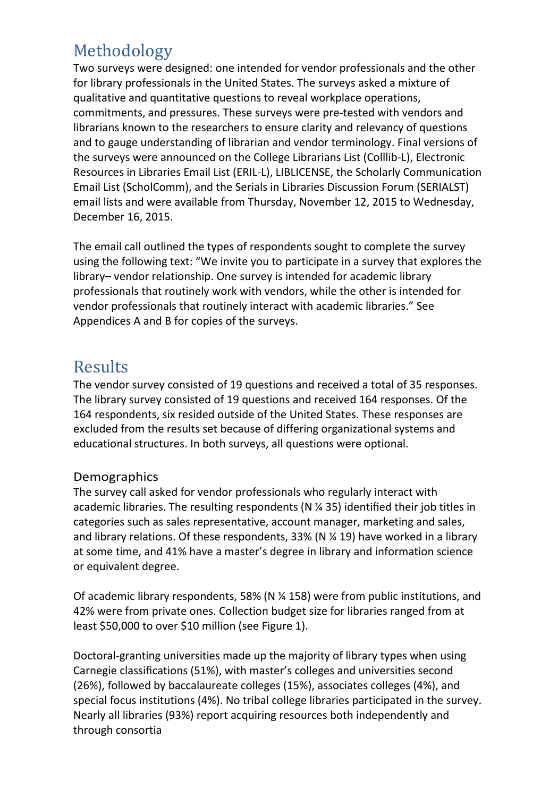## Methodology

Two surveys were designed: one intended for vendor professionals and the other for library professionals in the United States. The surveys asked a mixture of qualitative and quantitative questions to reveal workplace operations, commitments, and pressures. These surveys were pre-tested with vendors and librarians known to the researchers to ensure clarity and relevancy of questions and to gauge understanding of librarian and vendor terminology. Final versions of the surveys were announced on the College Librarians List (Colllib-L), Electronic Resources in Libraries Email List (ERIL-L), LIBLICENSE, the Scholarly Communication Email List (ScholComm), and the Serials in Libraries Discussion Forum (SERIALST) email lists and were available from Thursday, November 12, 2015 to Wednesday, December 16, 2015.

The email call outlined the types of respondents sought to complete the survey using the following text: "We invite you to participate in a survey that explores the library– vendor relationship. One survey is intended for academic library professionals that routinely work with vendors, while the other is intended for vendor professionals that routinely interact with academic libraries." See Appendices A and B for copies of the surveys.

## **Results**

The vendor survey consisted of 19 questions and received a total of 35 responses. The library survey consisted of 19 questions and received 164 responses. Of the 164 respondents, six resided outside of the United States. These responses are excluded from the results set because of differing organizational systems and educational structures. In both surveys, all questions were optional.

#### Demographics

The survey call asked for vendor professionals who regularly interact with academic libraries. The resulting respondents (N ¼ 35) identified their job titles in categories such as sales representative, account manager, marketing and sales, and library relations. Of these respondents, 33% (N ¼ 19) have worked in a library at some time, and 41% have a master's degree in library and information science or equivalent degree.

Of academic library respondents, 58% (N ¼ 158) were from public institutions, and 42% were from private ones. Collection budget size for libraries ranged from at least \$50,000 to over \$10 million (see Figure 1).

Doctoral-granting universities made up the majority of library types when using Carnegie classifications (51%), with master's colleges and universities second (26%), followed by baccalaureate colleges (15%), associates colleges (4%), and special focus institutions (4%). No tribal college libraries participated in the survey. Nearly all libraries (93%) report acquiring resources both independently and through consortia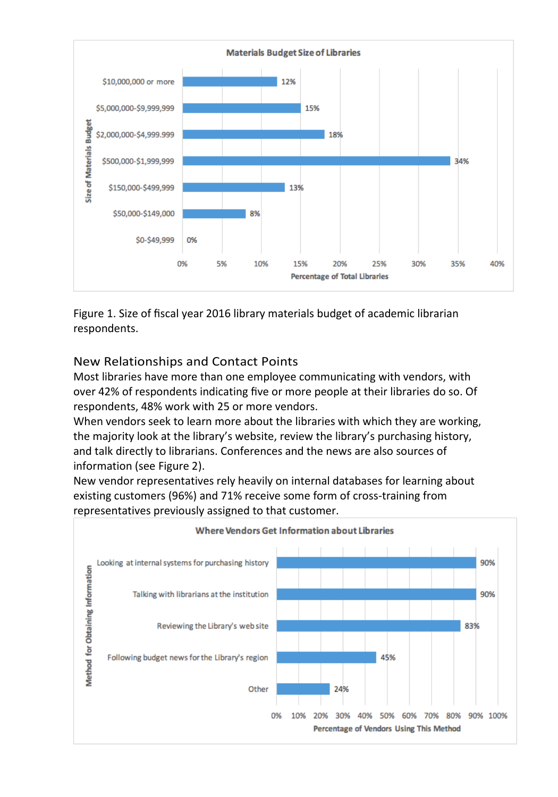

Figure 1. Size of fiscal year 2016 library materials budget of academic librarian respondents.

#### New Relationships and Contact Points

Most libraries have more than one employee communicating with vendors, with over 42% of respondents indicating five or more people at their libraries do so. Of respondents, 48% work with 25 or more vendors.

When vendors seek to learn more about the libraries with which they are working, the majority look at the library's website, review the library's purchasing history, and talk directly to librarians. Conferences and the news are also sources of information (see Figure 2).

New vendor representatives rely heavily on internal databases for learning about existing customers (96%) and 71% receive some form of cross-training from representatives previously assigned to that customer.

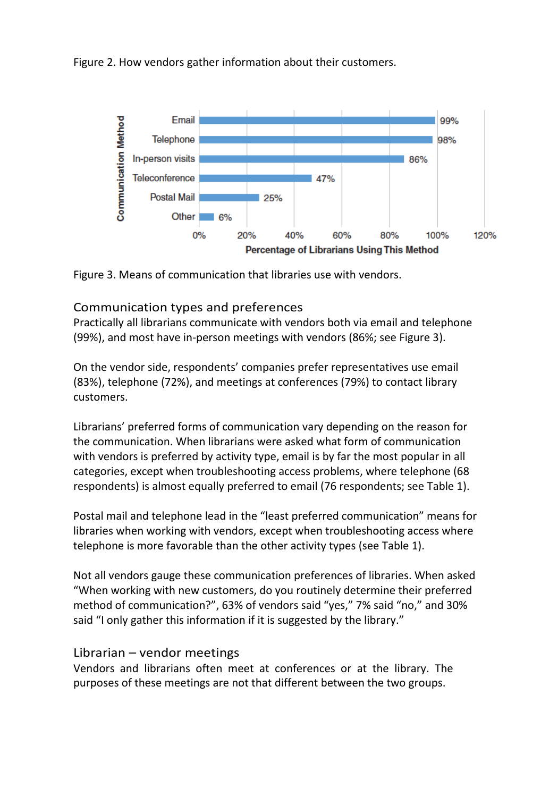Figure 2. How vendors gather information about their customers.





#### Communication types and preferences

Practically all librarians communicate with vendors both via email and telephone (99%), and most have in-person meetings with vendors (86%; see Figure 3).

On the vendor side, respondents' companies prefer representatives use email (83%), telephone (72%), and meetings at conferences (79%) to contact library customers.

Librarians' preferred forms of communication vary depending on the reason for the communication. When librarians were asked what form of communication with vendors is preferred by activity type, email is by far the most popular in all categories, except when troubleshooting access problems, where telephone (68 respondents) is almost equally preferred to email (76 respondents; se[e Table 1\)](#page-6-0).

Postal mail and telephone lead in the "least preferred communication" means for libraries when working with vendors, except when troubleshooting access where telephone is more favorable than the other activity types (see [Table 1\)](#page-6-0).

Not all vendors gauge these communication preferences of libraries. When asked "When working with new customers, do you routinely determine their preferred method of communication?", 63% of vendors said "yes," 7% said "no," and 30% said "I only gather this information if it is suggested by the library."

#### Librarian – vendor meetings

<span id="page-6-0"></span>Vendors and librarians often meet at conferences or at the library. The purposes of these meetings are not that different between the two groups.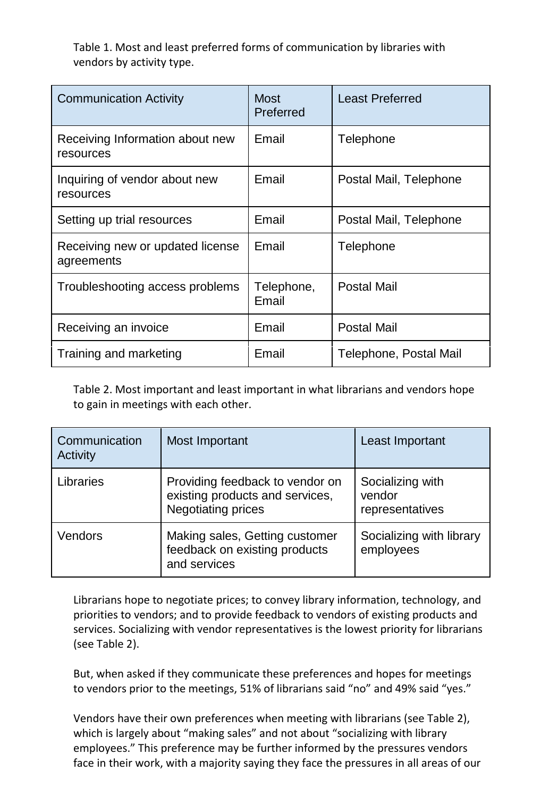Table 1. Most and least preferred forms of communication by libraries with vendors by activity type.

| <b>Communication Activity</b>                  | Most<br>Preferred   | <b>Least Preferred</b> |
|------------------------------------------------|---------------------|------------------------|
| Receiving Information about new<br>resources   | Email               | Telephone              |
| Inquiring of vendor about new<br>resources     | Email               | Postal Mail, Telephone |
| Setting up trial resources                     | Email               | Postal Mail, Telephone |
| Receiving new or updated license<br>agreements | Email               | Telephone              |
| Troubleshooting access problems                | Telephone,<br>Email | Postal Mail            |
| Receiving an invoice                           | Email               | Postal Mail            |
| Training and marketing                         | Email               | Telephone, Postal Mail |

<span id="page-7-0"></span>Table 2. Most important and least important in what librarians and vendors hope to gain in meetings with each other.

| Communication<br>Activity | Most Important                                                                                  | Least Important                               |
|---------------------------|-------------------------------------------------------------------------------------------------|-----------------------------------------------|
| Libraries                 | Providing feedback to vendor on<br>existing products and services,<br><b>Negotiating prices</b> | Socializing with<br>vendor<br>representatives |
| Vendors                   | Making sales, Getting customer<br>feedback on existing products<br>and services                 | Socializing with library<br>employees         |

Librarians hope to negotiate prices; to convey library information, technology, and priorities to vendors; and to provide feedback to vendors of existing products and services. Socializing with vendor representatives is the lowest priority for librarians (see [Table 2\)](#page-7-0).

But, when asked if they communicate these preferences and hopes for meetings to vendors prior to the meetings, 51% of librarians said "no" and 49% said "yes."

Vendors have their own preferences when meeting with librarians (see [Table 2\)](#page-7-0), which is largely about "making sales" and not about "socializing with library employees." This preference may be further informed by the pressures vendors face in their work, with a majority saying they face the pressures in all areas of our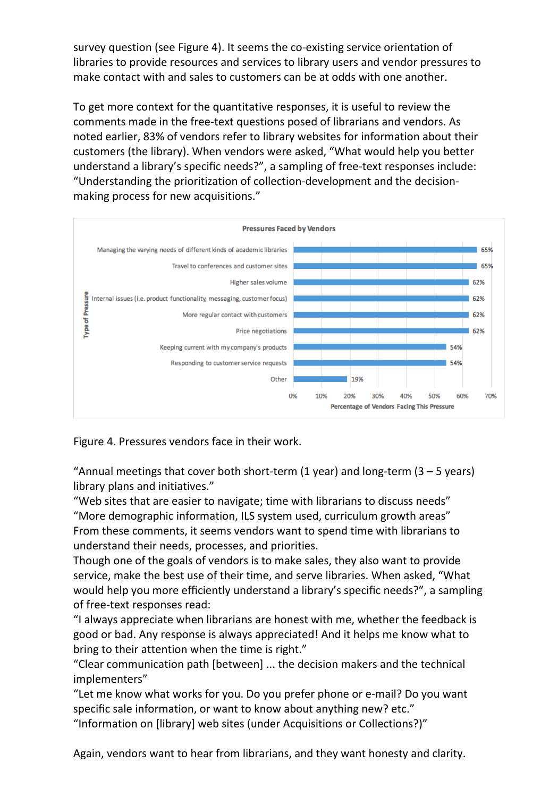survey question (see Figure 4). It seems the co-existing service orientation of libraries to provide resources and services to library users and vendor pressures to make contact with and sales to customers can be at odds with one another.

To get more context for the quantitative responses, it is useful to review the comments made in the free-text questions posed of librarians and vendors. As noted earlier, 83% of vendors refer to library websites for information about their customers (the library). When vendors were asked, "What would help you better understand a library's specific needs?", a sampling of free-text responses include: "Understanding the prioritization of collection-development and the decisionmaking process for new acquisitions."



Figure 4. Pressures vendors face in their work.

"Annual meetings that cover both short-term (1 year) and long-term (3  $-$  5 years) library plans and initiatives."

"Web sites that are easier to navigate; time with librarians to discuss needs" "More demographic information, ILS system used, curriculum growth areas" From these comments, it seems vendors want to spend time with librarians to understand their needs, processes, and priorities.

Though one of the goals of vendors is to make sales, they also want to provide service, make the best use of their time, and serve libraries. When asked, "What would help you more efficiently understand a library's specific needs?", a sampling of free-text responses read:

"I always appreciate when librarians are honest with me, whether the feedback is good or bad. Any response is always appreciated! And it helps me know what to bring to their attention when the time is right."

"Clear communication path [between] ... the decision makers and the technical implementers"

"Let me know what works for you. Do you prefer phone or e-mail? Do you want specific sale information, or want to know about anything new? etc."

"Information on [library] web sites (under Acquisitions or Collections?)"

Again, vendors want to hear from librarians, and they want honesty and clarity.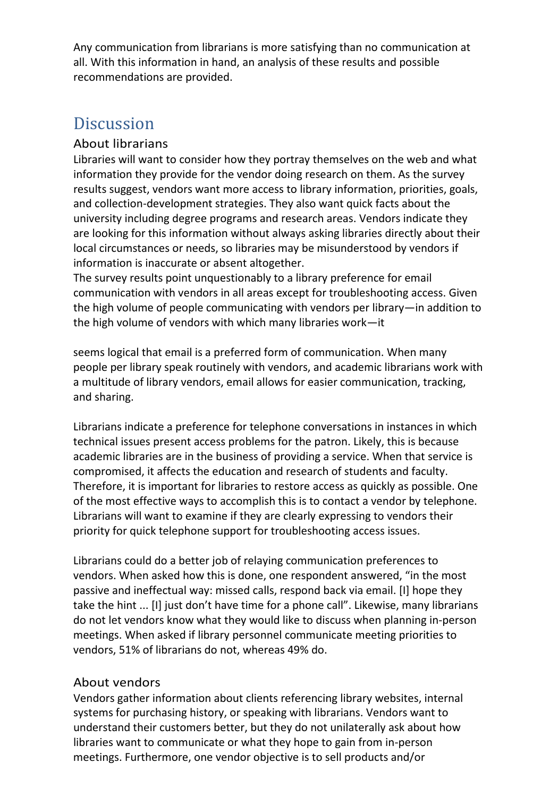Any communication from librarians is more satisfying than no communication at all. With this information in hand, an analysis of these results and possible recommendations are provided.

## **Discussion**

#### About librarians

Libraries will want to consider how they portray themselves on the web and what information they provide for the vendor doing research on them. As the survey results suggest, vendors want more access to library information, priorities, goals, and collection-development strategies. They also want quick facts about the university including degree programs and research areas. Vendors indicate they are looking for this information without always asking libraries directly about their local circumstances or needs, so libraries may be misunderstood by vendors if information is inaccurate or absent altogether.

The survey results point unquestionably to a library preference for email communication with vendors in all areas except for troubleshooting access. Given the high volume of people communicating with vendors per library—in addition to the high volume of vendors with which many libraries work—it

seems logical that email is a preferred form of communication. When many people per library speak routinely with vendors, and academic librarians work with a multitude of library vendors, email allows for easier communication, tracking, and sharing.

Librarians indicate a preference for telephone conversations in instances in which technical issues present access problems for the patron. Likely, this is because academic libraries are in the business of providing a service. When that service is compromised, it affects the education and research of students and faculty. Therefore, it is important for libraries to restore access as quickly as possible. One of the most effective ways to accomplish this is to contact a vendor by telephone. Librarians will want to examine if they are clearly expressing to vendors their priority for quick telephone support for troubleshooting access issues.

Librarians could do a better job of relaying communication preferences to vendors. When asked how this is done, one respondent answered, "in the most passive and ineffectual way: missed calls, respond back via email. [I] hope they take the hint ... [I] just don't have time for a phone call". Likewise, many librarians do not let vendors know what they would like to discuss when planning in-person meetings. When asked if library personnel communicate meeting priorities to vendors, 51% of librarians do not, whereas 49% do.

#### About vendors

Vendors gather information about clients referencing library websites, internal systems for purchasing history, or speaking with librarians. Vendors want to understand their customers better, but they do not unilaterally ask about how libraries want to communicate or what they hope to gain from in-person meetings. Furthermore, one vendor objective is to sell products and/or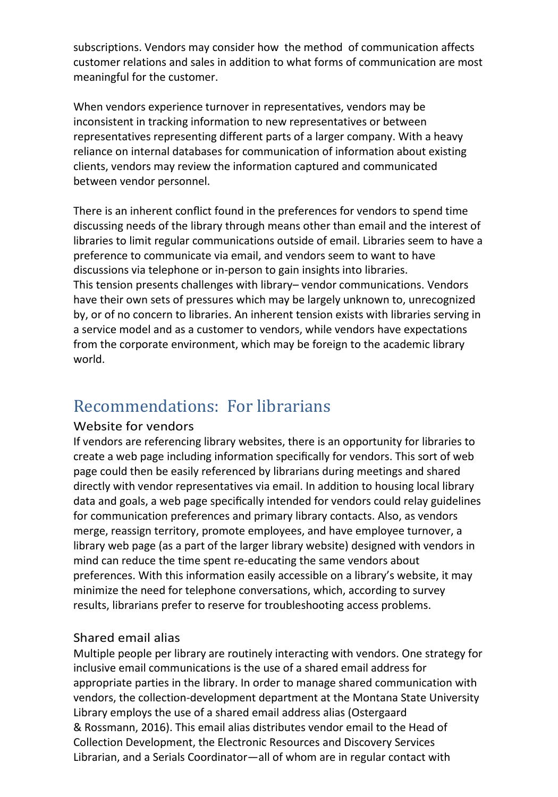subscriptions. Vendors may consider how the method of communication affects customer relations and sales in addition to what forms of communication are most meaningful for the customer.

When vendors experience turnover in representatives, vendors may be inconsistent in tracking information to new representatives or between representatives representing different parts of a larger company. With a heavy reliance on internal databases for communication of information about existing clients, vendors may review the information captured and communicated between vendor personnel.

There is an inherent conflict found in the preferences for vendors to spend time discussing needs of the library through means other than email and the interest of libraries to limit regular communications outside of email. Libraries seem to have a preference to communicate via email, and vendors seem to want to have discussions via telephone or in-person to gain insights into libraries. This tension presents challenges with library– vendor communications. Vendors have their own sets of pressures which may be largely unknown to, unrecognized by, or of no concern to libraries. An inherent tension exists with libraries serving in a service model and as a customer to vendors, while vendors have expectations from the corporate environment, which may be foreign to the academic library world.

## Recommendations: For librarians

#### Website for vendors

If vendors are referencing library websites, there is an opportunity for libraries to create a web page including information specifically for vendors. This sort of web page could then be easily referenced by librarians during meetings and shared directly with vendor representatives via email. In addition to housing local library data and goals, a web page specifically intended for vendors could relay guidelines for communication preferences and primary library contacts. Also, as vendors merge, reassign territory, promote employees, and have employee turnover, a library web page (as a part of the larger library website) designed with vendors in mind can reduce the time spent re-educating the same vendors about preferences. With this information easily accessible on a library's website, it may minimize the need for telephone conversations, which, according to survey results, librarians prefer to reserve for troubleshooting access problems.

#### Shared email alias

Multiple people per library are routinely interacting with vendors. One strategy for inclusive email communications is the use of a shared email address for appropriate parties in the library. In order to manage shared communication with vendors, the collection-development department at the Montana State University Library employs the use of a shared email address alias (Ostergaard & Rossmann[, 2016\)](#page-13-6). This email alias distributes vendor email to the Head of Collection Development, the Electronic Resources and Discovery Services Librarian, and a Serials Coordinator—all of whom are in regular contact with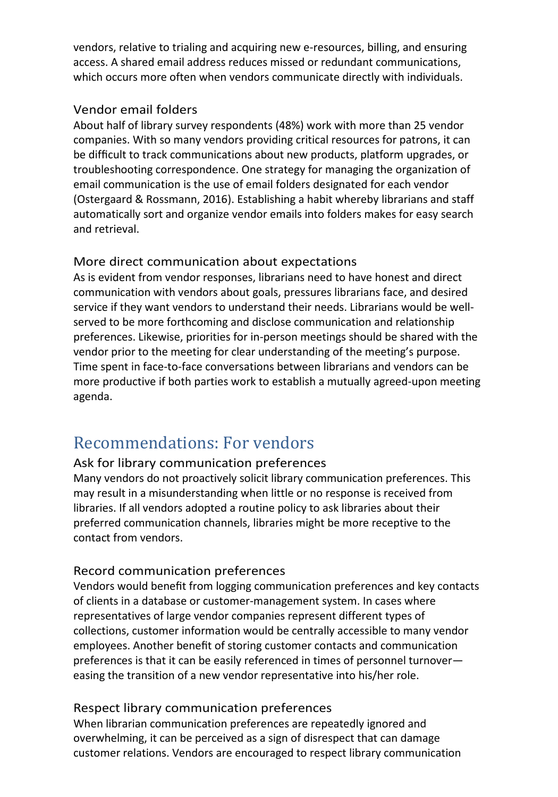vendors, relative to trialing and acquiring new e-resources, billing, and ensuring access. A shared email address reduces missed or redundant communications, which occurs more often when vendors communicate directly with individuals.

#### Vendor email folders

About half of library survey respondents (48%) work with more than 25 vendor companies. With so many vendors providing critical resources for patrons, it can be difficult to track communications about new products, platform upgrades, or troubleshooting correspondence. One strategy for managing the organization of email communication is the use of email folders designated for each vendor (Ostergaard & Rossmann, [2016\)](#page-13-6). Establishing a habit whereby librarians and staff automatically sort and organize vendor emails into folders makes for easy search and retrieval.

#### More direct communication about expectations

As is evident from vendor responses, librarians need to have honest and direct communication with vendors about goals, pressures librarians face, and desired service if they want vendors to understand their needs. Librarians would be wellserved to be more forthcoming and disclose communication and relationship preferences. Likewise, priorities for in-person meetings should be shared with the vendor prior to the meeting for clear understanding of the meeting's purpose. Time spent in face-to-face conversations between librarians and vendors can be more productive if both parties work to establish a mutually agreed-upon meeting agenda.

## Recommendations: For vendors

#### Ask for library communication preferences

Many vendors do not proactively solicit library communication preferences. This may result in a misunderstanding when little or no response is received from libraries. If all vendors adopted a routine policy to ask libraries about their preferred communication channels, libraries might be more receptive to the contact from vendors.

#### Record communication preferences

Vendors would benefit from logging communication preferences and key contacts of clients in a database or customer-management system. In cases where representatives of large vendor companies represent different types of collections, customer information would be centrally accessible to many vendor employees. Another benefit of storing customer contacts and communication preferences is that it can be easily referenced in times of personnel turnover easing the transition of a new vendor representative into his/her role.

#### Respect library communication preferences

When librarian communication preferences are repeatedly ignored and overwhelming, it can be perceived as a sign of disrespect that can damage customer relations. Vendors are encouraged to respect library communication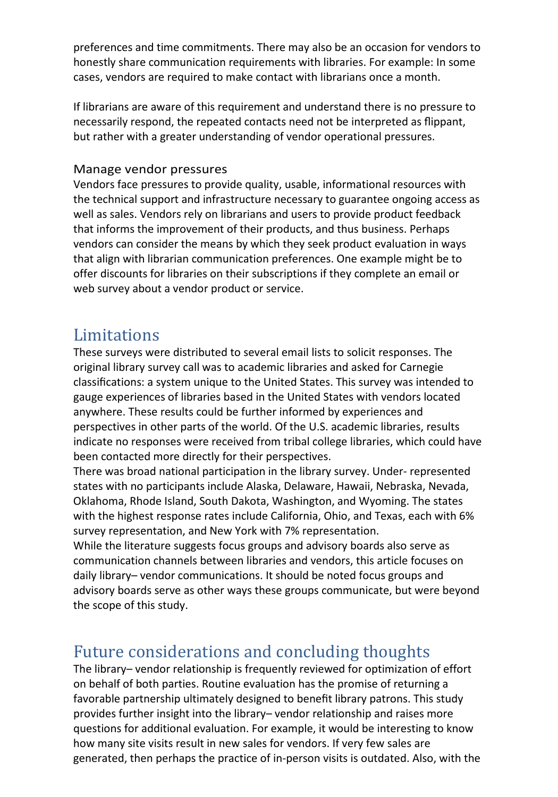preferences and time commitments. There may also be an occasion for vendors to honestly share communication requirements with libraries. For example: In some cases, vendors are required to make contact with librarians once a month.

If librarians are aware of this requirement and understand there is no pressure to necessarily respond, the repeated contacts need not be interpreted as flippant, but rather with a greater understanding of vendor operational pressures.

#### Manage vendor pressures

Vendors face pressures to provide quality, usable, informational resources with the technical support and infrastructure necessary to guarantee ongoing access as well as sales. Vendors rely on librarians and users to provide product feedback that informs the improvement of their products, and thus business. Perhaps vendors can consider the means by which they seek product evaluation in ways that align with librarian communication preferences. One example might be to offer discounts for libraries on their subscriptions if they complete an email or web survey about a vendor product or service.

## Limitations

These surveys were distributed to several email lists to solicit responses. The original library survey call was to academic libraries and asked for Carnegie classifications: a system unique to the United States. This survey was intended to gauge experiences of libraries based in the United States with vendors located anywhere. These results could be further informed by experiences and perspectives in other parts of the world. Of the U.S. academic libraries, results indicate no responses were received from tribal college libraries, which could have been contacted more directly for their perspectives.

There was broad national participation in the library survey. Under- represented states with no participants include Alaska, Delaware, Hawaii, Nebraska, Nevada, Oklahoma, Rhode Island, South Dakota, Washington, and Wyoming. The states with the highest response rates include California, Ohio, and Texas, each with 6% survey representation, and New York with 7% representation.

While the literature suggests focus groups and advisory boards also serve as communication channels between libraries and vendors, this article focuses on daily library– vendor communications. It should be noted focus groups and advisory boards serve as other ways these groups communicate, but were beyond the scope of this study.

## Future considerations and concluding thoughts

The library– vendor relationship is frequently reviewed for optimization of effort on behalf of both parties. Routine evaluation has the promise of returning a favorable partnership ultimately designed to benefit library patrons. This study provides further insight into the library– vendor relationship and raises more questions for additional evaluation. For example, it would be interesting to know how many site visits result in new sales for vendors. If very few sales are generated, then perhaps the practice of in-person visits is outdated. Also, with the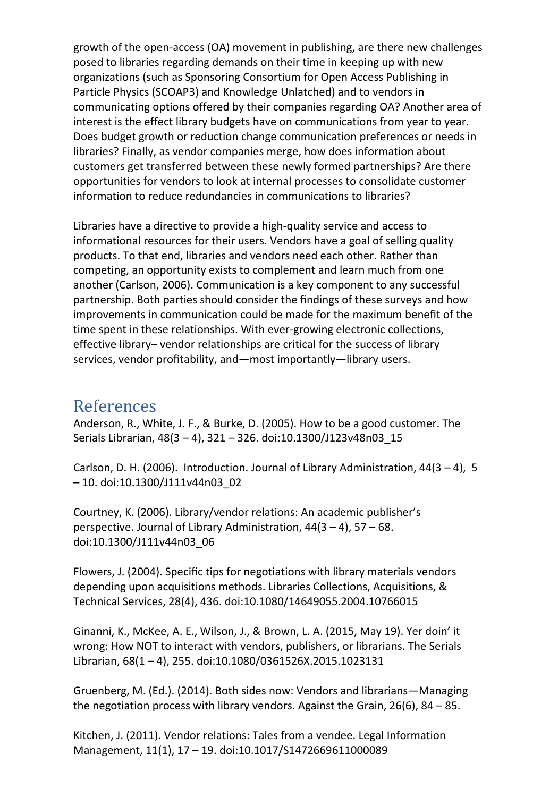growth of the open-access (OA) movement in publishing, are there new challenges posed to libraries regarding demands on their time in keeping up with new organizations (such as Sponsoring Consortium for Open Access Publishing in Particle Physics (SCOAP3) and Knowledge Unlatched) and to vendors in communicating options offered by their companies regarding OA? Another area of interest is the effect library budgets have on communications from year to year. Does budget growth or reduction change communication preferences or needs in libraries? Finally, as vendor companies merge, how does information about customers get transferred between these newly formed partnerships? Are there opportunities for vendors to look at internal processes to consolidate customer information to reduce redundancies in communications to libraries?

Libraries have a directive to provide a high-quality service and access to informational resources for their users. Vendors have a goal of selling quality products. To that end, libraries and vendors need each other. Rather than competing, an opportunity exists to complement and learn much from one another (Carlson, [2006\)](#page-13-7). Communication is a key component to any successful partnership. Both parties should consider the findings of these surveys and how improvements in communication could be made for the maximum benefit of the time spent in these relationships. With ever-growing electronic collections, effective library– vendor relationships are critical for the success of library services, vendor profitability, and—most importantly—library users.

### <span id="page-13-4"></span>References

<span id="page-13-7"></span>Anderson, R., White, J. F., & Burke, D. (2005). How to be a good customer. The Serials Librarian, 48(3 – 4), 321 – 326. doi[:10.1300/J123v48n03\\_15](http://dx.doi.org/10.1300/J123v48n03_15)

<span id="page-13-1"></span>Carlson, D. H. (2006). Introduction. Journal of Library Administration,  $44(3-4)$ , 5 – 10. doi[:10.1300/J111v44n03\\_02](http://dx.doi.org/10.1300/J111v44n03_02)

<span id="page-13-0"></span>Courtney, K. (2006). Library/vendor relations: An academic publisher's perspective. Journal of Library Administration, 44(3 – 4), 57 – 68. doi[:10.1300/J111v44n03\\_06](http://dx.doi.org/10.1300/J111v44n03_06)

<span id="page-13-5"></span>Flowers, J. (2004). Specific tips for negotiations with library materials vendors depending upon acquisitions methods. Libraries Collections, Acquisitions, & Technical Services, 28(4), 436. doi[:10.1080/14649055.2004.10766015](http://dx.doi.org/10.1080/14649055.2004.10766015)

<span id="page-13-2"></span>Ginanni, K., McKee, A. E., Wilson, J., & Brown, L. A. (2015, May 19). Yer doin' it wrong: How NOT to interact with vendors, publishers, or librarians. The Serials Librarian, 68(1 – 4), 255. doi[:10.1080/0361526X.2015.1023131](http://dx.doi.org/10.1080/0361526X.2015.1023131)

<span id="page-13-3"></span>Gruenberg, M. (Ed.). (2014). Both sides now: Vendors and librarians—Managing the negotiation process with library vendors. Against the Grain,  $26(6)$ ,  $84 - 85$ .

<span id="page-13-6"></span>Kitchen, J. (2011). Vendor relations: Tales from a vendee. Legal Information Management, 11(1), 17 – 19. doi[:10.1017/S1472669611000089](http://dx.doi.org/10.1017/S1472669611000089)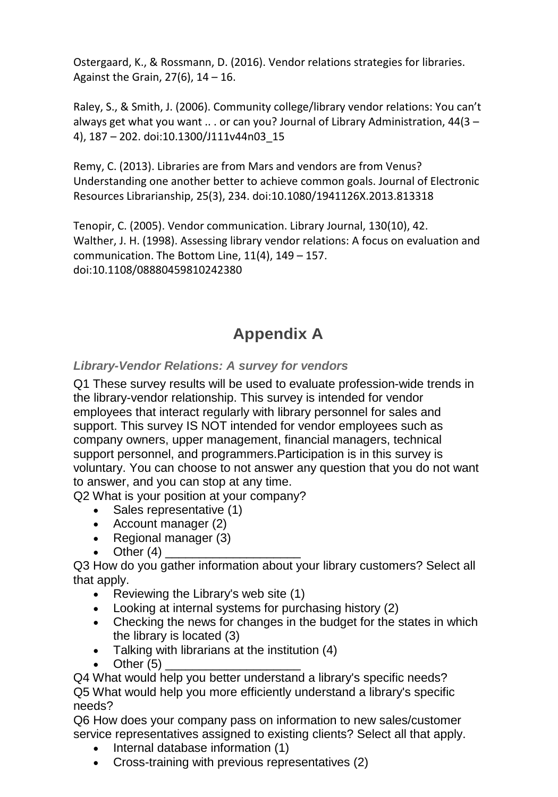<span id="page-14-1"></span>Ostergaard, K., & Rossmann, D. (2016). Vendor relations strategies for libraries. Against the Grain,  $27(6)$ ,  $14 - 16$ .

Raley, S., & Smith, J. (2006). Community college/library vendor relations: You can't always get what you want  $\ldots$  or can you? Journal of Library Administration,  $44(3 -$ 4), 187 – 202. doi[:10.1300/J111v44n03\\_15](http://dx.doi.org/10.1300/J111v44n03_15)

<span id="page-14-2"></span>Remy, C. (2013). Libraries are from Mars and vendors are from Venus? Understanding one another better to achieve common goals. Journal of Electronic Resources Librarianship, 25(3), 234. doi[:10.1080/1941126X.2013.813318](http://dx.doi.org/10.1080/1941126X.2013.813318)

<span id="page-14-3"></span><span id="page-14-0"></span>Tenopir, C. (2005). Vendor communication. Library Journal, 130(10), 42. Walther, J. H. (1998). Assessing library vendor relations: A focus on evaluation and communication. The Bottom Line, 11(4), 149 – 157. doi[:10.1108/08880459810242380](http://dx.doi.org/10.1108/08880459810242380)

## **Appendix A**

*Library-Vendor Relations: A survey for vendors* 

Q1 These survey results will be used to evaluate profession-wide trends in the library-vendor relationship. This survey is intended for vendor employees that interact regularly with library personnel for sales and support. This survey IS NOT intended for vendor employees such as company owners, upper management, financial managers, technical support personnel, and programmers.Participation is in this survey is voluntary. You can choose to not answer any question that you do not want to answer, and you can stop at any time.

Q2 What is your position at your company?

- Sales representative (1)
- Account manager (2)
- Regional manager (3)
- Other  $(4)$

Q3 How do you gather information about your library customers? Select all that apply.

- Reviewing the Library's web site (1)
- Looking at internal systems for purchasing history (2)
- Checking the news for changes in the budget for the states in which the library is located (3)
- Talking with librarians at the institution (4)
- Other  $(5)$

Q4 What would help you better understand a library's specific needs? Q5 What would help you more efficiently understand a library's specific needs?

Q6 How does your company pass on information to new sales/customer service representatives assigned to existing clients? Select all that apply.

- Internal database information (1)
- Cross-training with previous representatives (2)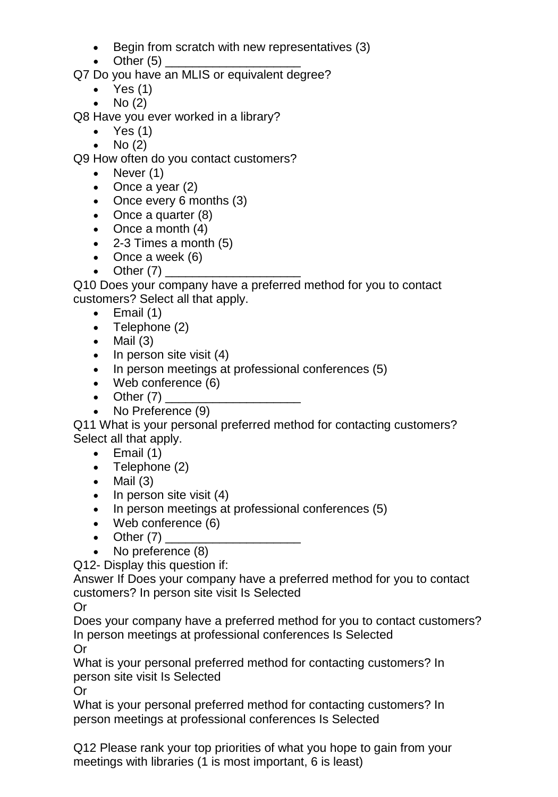- Begin from scratch with new representatives (3)
- $\bullet$   $\bullet$  Other (5)

Q7 Do you have an MLIS or equivalent degree?

- $\bullet$  Yes (1)
- No (2)

Q8 Have you ever worked in a library?

- Yes  $(1)$
- $No(2)$

Q9 How often do you contact customers?

- Never (1)
- Once a year (2)
- Once every 6 months (3)
- Once a quarter (8)
- Once a month (4)
- 2-3 Times a month (5)
- Once a week (6)
- Other  $(7)$

Q10 Does your company have a preferred method for you to contact customers? Select all that apply.

- $\bullet$  Email (1)
- Telephone (2)
- $\bullet$  Mail (3)
- In person site visit (4)
- In person meetings at professional conferences (5)
- Web conference (6)
- Other  $(7)$
- No Preference (9)

Q11 What is your personal preferred method for contacting customers? Select all that apply.

- $\bullet$  Email (1)
- Telephone (2)
- $\bullet$  Mail  $(3)$
- In person site visit (4)
- In person meetings at professional conferences (5)
- Web conference (6)
- Other  $(7)$
- No preference (8)

Q12- Display this question if:

Answer If Does your company have a preferred method for you to contact customers? In person site visit Is Selected

Or

Does your company have a preferred method for you to contact customers? In person meetings at professional conferences Is Selected Or

What is your personal preferred method for contacting customers? In person site visit Is Selected

Or

What is your personal preferred method for contacting customers? In person meetings at professional conferences Is Selected

Q12 Please rank your top priorities of what you hope to gain from your meetings with libraries (1 is most important, 6 is least)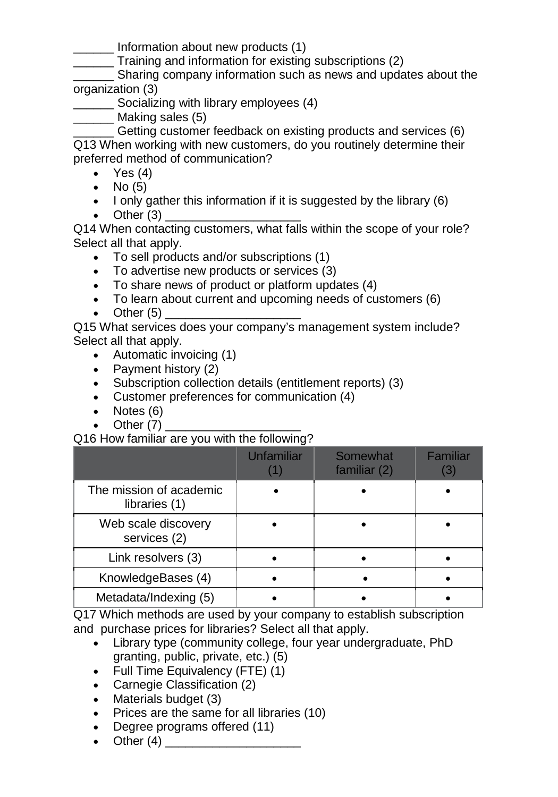\_\_\_\_\_\_ Information about new products (1)

\_\_\_\_\_\_ Training and information for existing subscriptions (2)

Sharing company information such as news and updates about the organization (3)

- **Socializing with library employees (4)**
- \_\_\_\_\_\_ Making sales (5)

Getting customer feedback on existing products and services (6) Q13 When working with new customers, do you routinely determine their preferred method of communication?

- Yes  $(4)$
- $\bullet$  No (5)
- I only gather this information if it is suggested by the library (6)
- Other  $(3)$

Q14 When contacting customers, what falls within the scope of your role? Select all that apply.

- To sell products and/or subscriptions (1)
- To advertise new products or services (3)
- To share news of product or platform updates (4)
- To learn about current and upcoming needs of customers (6)
- Other  $(5)$

Q15 What services does your company's management system include? Select all that apply.

- Automatic invoicing (1)
- Payment history (2)
- Subscription collection details (entitlement reports) (3)
- Customer preferences for communication (4)
- Notes (6)
- Other  $(7)$

Q16 How familiar are you with the following?

|                                          | Unfamiliar | Somewhat<br>familiar (2) | <b>Familiar</b><br>8 |
|------------------------------------------|------------|--------------------------|----------------------|
| The mission of academic<br>libraries (1) |            |                          |                      |
| Web scale discovery<br>services (2)      |            |                          |                      |
| Link resolvers (3)                       |            |                          |                      |
| KnowledgeBases (4)                       |            |                          |                      |
| Metadata/Indexing (5)                    |            |                          |                      |

Q17 Which methods are used by your company to establish subscription and purchase prices for libraries? Select all that apply.

- Library type (community college, four year undergraduate, PhD granting, public, private, etc.) (5)
- Full Time Equivalency (FTE) (1)
- Carnegie Classification (2)
- Materials budget (3)
- Prices are the same for all libraries (10)
- Degree programs offered (11)
- Other (4) \_\_\_\_\_\_\_\_\_\_\_\_\_\_\_\_\_\_\_\_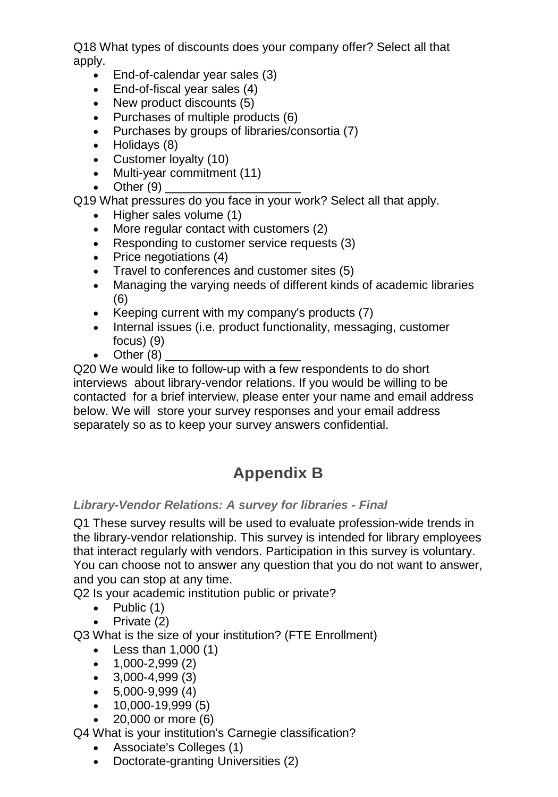Q18 What types of discounts does your company offer? Select all that apply.

- End-of-calendar year sales (3)
- End-of-fiscal year sales (4)
- New product discounts (5)
- Purchases of multiple products (6)
- Purchases by groups of libraries/consortia (7)
- Holidays (8)
- Customer loyalty (10)
- Multi-year commitment (11)
- Other  $(9)$

Q19 What pressures do you face in your work? Select all that apply.

- Higher sales volume (1)
- More regular contact with customers (2)
- Responding to customer service requests (3)
- Price negotiations (4)
- Travel to conferences and customer sites (5)
- Managing the varying needs of different kinds of academic libraries (6)
- Keeping current with my company's products (7)
- Internal issues (i.e. product functionality, messaging, customer focus) (9)
- Other  $(8)$

Q20 We would like to follow-up with a few respondents to do short interviews about library-vendor relations. If you would be willing to be contacted for a brief interview, please enter your name and email address below. We will store your survey responses and your email address separately so as to keep your survey answers confidential.

## **Appendix B**

#### *Library-Vendor Relations: A survey for libraries - Final*

Q1 These survey results will be used to evaluate profession-wide trends in the library-vendor relationship. This survey is intended for library employees that interact regularly with vendors. Participation in this survey is voluntary. You can choose not to answer any question that you do not want to answer, and you can stop at any time.

Q2 Is your academic institution public or private?

- Public  $(1)$
- Private (2)

Q3 What is the size of your institution? (FTE Enrollment)

- Less than  $1,000(1)$
- $\bullet$  1,000-2,999 (2)
- $\bullet$  3,000-4,999 (3)
- $\bullet$  5,000-9,999 (4)
- 10,000-19,999 (5)
- 20,000 or more (6)

Q4 What is your institution's Carnegie classification?

- Associate's Colleges (1)
- Doctorate-granting Universities (2)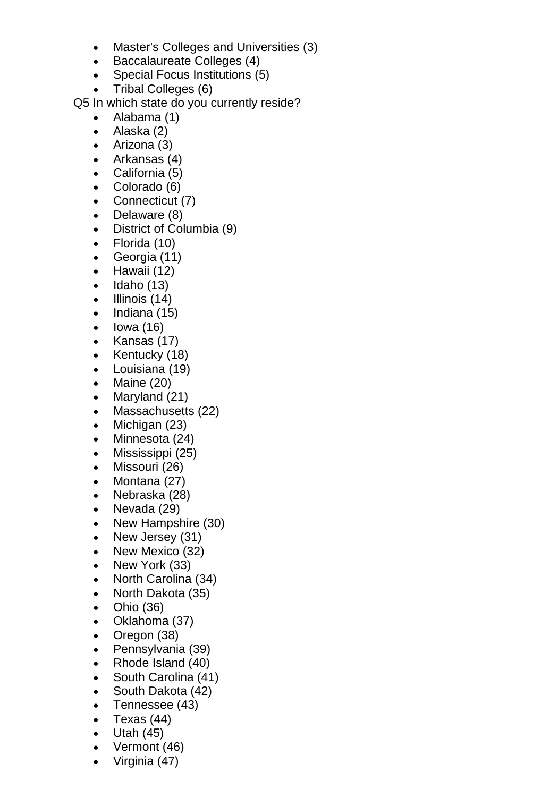- Master's Colleges and Universities (3)
- Baccalaureate Colleges (4)
- Special Focus Institutions (5)
- Tribal Colleges (6)

Q5 In which state do you currently reside?

- Alabama (1)
- Alaska (2)
- Arizona (3)
- Arkansas (4)
- California (5)
- Colorado (6)
- Connecticut (7)
- Delaware (8)
- District of Columbia (9)
- Florida (10)
- Georgia (11)
- Hawaii (12)
- $\bullet$  Idaho (13)
- $\bullet$  Illinois (14)
- Indiana (15)
- Iowa (16)
- Kansas (17)
- Kentucky (18)
- Louisiana (19)
- Maine (20)
- Maryland (21)
- Massachusetts (22)
- Michigan (23)
- Minnesota (24)
- Mississippi (25)
- Missouri (26)
- Montana (27)
- Nebraska (28)
- Nevada (29)
- New Hampshire (30)
- New Jersey (31)
- New Mexico (32)
- New York (33)
- North Carolina (34)
- North Dakota (35)
- Ohio (36)
- Oklahoma (37)
- Oregon (38)
- Pennsylvania (39)
- Rhode Island (40)
- South Carolina (41)
- South Dakota (42)
- Tennessee (43)
- Texas (44)
- $\bullet$  Utah (45)
- Vermont (46)
- Virginia (47)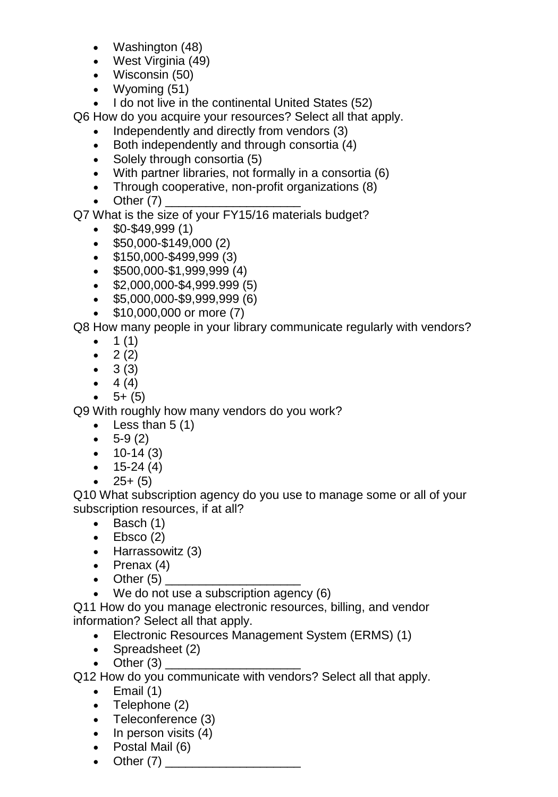- Washington (48)
- West Virginia (49)
- Wisconsin (50)
- Wyoming (51)
- I do not live in the continental United States (52)

Q6 How do you acquire your resources? Select all that apply.

- Independently and directly from vendors (3)
- Both independently and through consortia (4)
- Solely through consortia (5)
- With partner libraries, not formally in a consortia (6)
- Through cooperative, non-profit organizations (8)
- Other  $(7)$
- Q7 What is the size of your FY15/16 materials budget?
	- $\bullet$  \$0-\$49,999 (1)
	- \$50,000-\$149,000 (2)
	- \$150,000-\$499,999 (3)
	- \$500,000-\$1,999,999 (4)
	- \$2,000,000-\$4,999.999 (5)
	- \$5,000,000-\$9,999,999 (6)
	- \$10,000,000 or more (7)

Q8 How many people in your library communicate regularly with vendors?

- $1(1)$
- $2(2)$
- $\bullet$  3 (3)
- $4 (4)$
- $-5+(5)$

Q9 With roughly how many vendors do you work?

- Less than  $5(1)$
- $-5-9(2)$
- $\bullet$  10-14 (3)
- $\bullet$  15-24 (4)
- $\bullet$  25+(5)

Q10 What subscription agency do you use to manage some or all of your subscription resources, if at all?

- Basch (1)
- $\bullet$  Ebsco (2)
- Harrassowitz (3)
- Prenax (4)
- Other (5) \_\_\_\_\_\_\_\_\_\_\_\_\_\_\_\_\_\_\_\_
- We do not use a subscription agency (6)

Q11 How do you manage electronic resources, billing, and vendor information? Select all that apply.

- Electronic Resources Management System (ERMS) (1)
- Spreadsheet (2)
- Other  $(3)$

Q12 How do you communicate with vendors? Select all that apply.

- $\bullet$  Email (1)
- Telephone (2)
- Teleconference (3)
- In person visits (4)
- Postal Mail (6)
- Other  $(7)$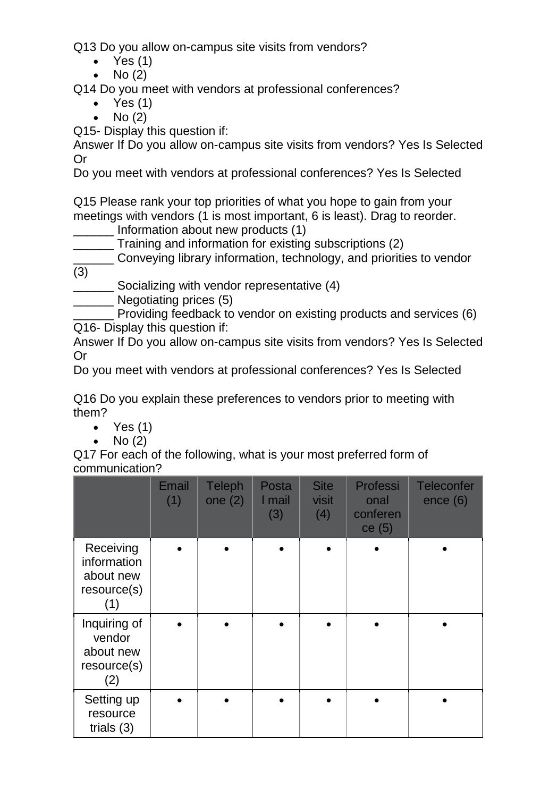Q13 Do you allow on-campus site visits from vendors?

- $\bullet$  Yes (1)
- $No(2)$

Q14 Do you meet with vendors at professional conferences?

- Yes  $(1)$
- $\bullet$  No (2)

Q15- Display this question if:

Answer If Do you allow on-campus site visits from vendors? Yes Is Selected Or

Do you meet with vendors at professional conferences? Yes Is Selected

Q15 Please rank your top priorities of what you hope to gain from your meetings with vendors (1 is most important, 6 is least). Drag to reorder.

Information about new products (1)

\_\_\_\_\_\_ Training and information for existing subscriptions (2)

Conveying library information, technology, and priorities to vendor (3)

- Socializing with vendor representative (4)
- Negotiating prices (5)
- Providing feedback to vendor on existing products and services (6) Q16- Display this question if:

Answer If Do you allow on-campus site visits from vendors? Yes Is Selected Or

Do you meet with vendors at professional conferences? Yes Is Selected

Q16 Do you explain these preferences to vendors prior to meeting with them?

- Yes  $(1)$
- $\bullet$  No  $(2)$

Q17 For each of the following, what is your most preferred form of communication?

|                                                             | Email<br>(1) | <b>Teleph</b><br>one $(2)$ | Posta<br>I mail<br>(3) | <b>Site</b><br>visit<br>(4) | Professi<br>onal<br>conferen<br>ce(5) | <b>Teleconfer</b><br>ence (6) |
|-------------------------------------------------------------|--------------|----------------------------|------------------------|-----------------------------|---------------------------------------|-------------------------------|
| Receiving<br>information<br>about new<br>resource(s)<br>(1) |              |                            |                        |                             |                                       |                               |
| Inquiring of<br>vendor<br>about new<br>resource(s)<br>(2)   |              |                            |                        |                             |                                       |                               |
| Setting up<br>resource<br>trials $(3)$                      |              |                            |                        |                             |                                       |                               |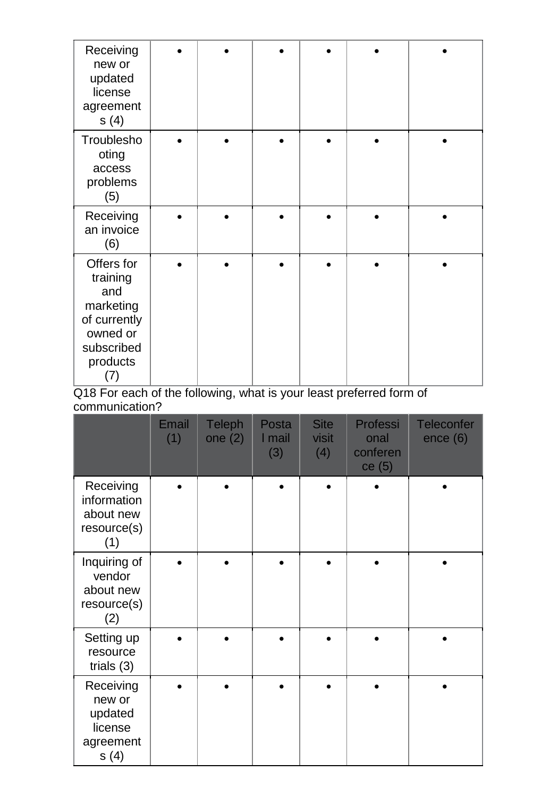| Receiving<br>new or<br>updated<br>license<br>agreement<br>s(4)                                          |  |  |  |
|---------------------------------------------------------------------------------------------------------|--|--|--|
| Troublesho<br>oting<br>access<br>problems<br>(5)                                                        |  |  |  |
| Receiving<br>an invoice<br>(6)                                                                          |  |  |  |
| Offers for<br>training<br>and<br>marketing<br>of currently<br>owned or<br>subscribed<br>products<br>(7) |  |  |  |

Q18 For each of the following, what is your least preferred form of communication?

|                                                                | Email<br>(1) | Teleph<br>one $(2)$ | Posta<br>I mail<br>(3) | <b>Site</b><br>visit<br>(4) | Professi<br>onal<br>conferen<br>ce(5) | <b>Teleconfer</b><br>ence (6) |
|----------------------------------------------------------------|--------------|---------------------|------------------------|-----------------------------|---------------------------------------|-------------------------------|
| Receiving<br>information<br>about new<br>resource(s)<br>(1)    |              |                     |                        |                             |                                       |                               |
| Inquiring of<br>vendor<br>about new<br>resource(s)<br>(2)      |              |                     |                        |                             |                                       |                               |
| Setting up<br>resource<br>trials $(3)$                         |              |                     |                        |                             |                                       |                               |
| Receiving<br>new or<br>updated<br>license<br>agreement<br>s(4) |              |                     |                        |                             |                                       |                               |